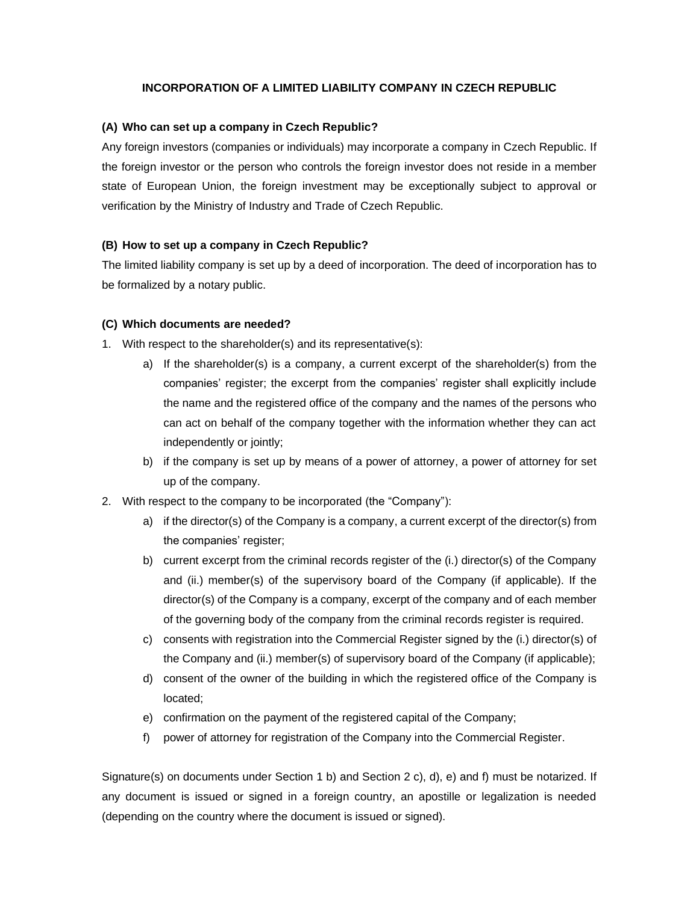## **INCORPORATION OF A LIMITED LIABILITY COMPANY IN CZECH REPUBLIC**

#### **(A) Who can set up a company in Czech Republic?**

Any foreign investors (companies or individuals) may incorporate a company in Czech Republic. If the foreign investor or the person who controls the foreign investor does not reside in a member state of European Union, the foreign investment may be exceptionally subject to approval or verification by the Ministry of Industry and Trade of Czech Republic.

#### **(B) How to set up a company in Czech Republic?**

The limited liability company is set up by a deed of incorporation. The deed of incorporation has to be formalized by a notary public.

#### **(C) Which documents are needed?**

- 1. With respect to the shareholder(s) and its representative(s):
	- a) If the shareholder(s) is a company, a current excerpt of the shareholder(s) from the companies' register; the excerpt from the companies' register shall explicitly include the name and the registered office of the company and the names of the persons who can act on behalf of the company together with the information whether they can act independently or jointly;
	- b) if the company is set up by means of a power of attorney, a power of attorney for set up of the company.
- 2. With respect to the company to be incorporated (the "Company"):
	- a) if the director(s) of the Company is a company, a current excerpt of the director(s) from the companies' register;
	- b) current excerpt from the criminal records register of the (i.) director(s) of the Company and (ii.) member(s) of the supervisory board of the Company (if applicable). If the director(s) of the Company is a company, excerpt of the company and of each member of the governing body of the company from the criminal records register is required.
	- c) consents with registration into the Commercial Register signed by the (i.) director(s) of the Company and (ii.) member(s) of supervisory board of the Company (if applicable);
	- d) consent of the owner of the building in which the registered office of the Company is located;
	- e) confirmation on the payment of the registered capital of the Company;
	- f) power of attorney for registration of the Company into the Commercial Register.

Signature(s) on documents under Section 1 b) and Section 2 c), d), e) and f) must be notarized. If any document is issued or signed in a foreign country, an apostille or legalization is needed (depending on the country where the document is issued or signed).